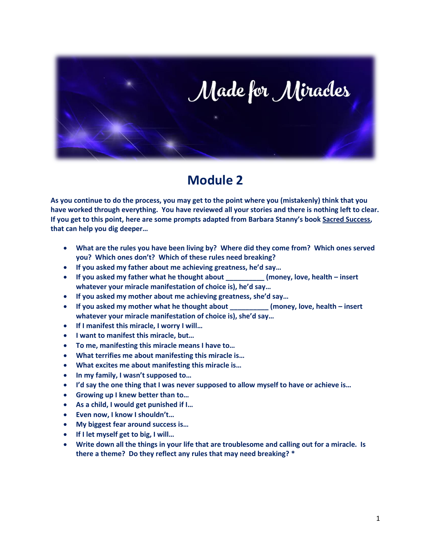

# **Module 2**

**As you continue to do the process, you may get to the point where you (mistakenly) think that you have worked through everything. You have reviewed all your stories and there is nothing left to clear. If you get to this point, here are some prompts adapted from Barbara Stanny's book Sacred Success, that can help you dig deeper…**

- **What are the rules you have been living by? Where did they come from? Which ones served you? Which ones don't? Which of these rules need breaking?**
- **If you asked my father about me achieving greatness, he'd say…**
- **If you asked my father what he thought about \_\_\_\_\_\_\_\_\_\_ (money, love, health – insert whatever your miracle manifestation of choice is), he'd say…**
- **If you asked my mother about me achieving greatness, she'd say…**
- **If you asked my mother what he thought about \_\_\_\_\_\_\_\_\_\_ (money, love, health – insert whatever your miracle manifestation of choice is), she'd say…**
- **If I manifest this miracle, I worry I will…**
- **I want to manifest this miracle, but…**
- **To me, manifesting this miracle means I have to…**
- **What terrifies me about manifesting this miracle is…**
- **What excites me about manifesting this miracle is…**
- **In my family, I wasn't supposed to…**
- **I'd say the one thing that I was never supposed to allow myself to have or achieve is…**
- **Growing up I knew better than to…**
- **As a child, I would get punished if I…**
- **Even now, I know I shouldn't…**
- **My biggest fear around success is…**
- **If I let myself get to big, I will…**
- **Write down all the things in your life that are troublesome and calling out for a miracle. Is there a theme? Do they reflect any rules that may need breaking? \***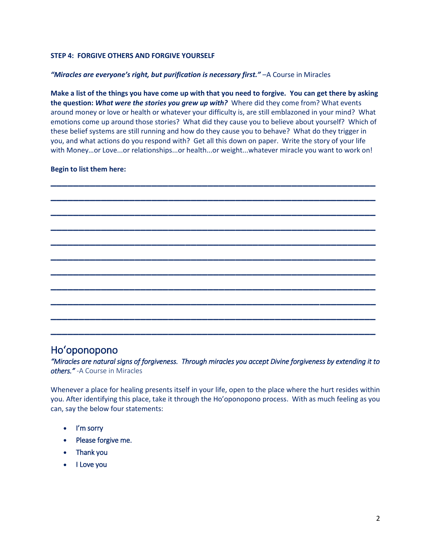#### **STEP 4: FORGIVE OTHERS AND FORGIVE YOURSELF**

#### *"Miracles are everyone's right, but purification is necessary first."* - A Course in Miracles

**Make a list of the things you have come up with that you need to forgive. You can get there by asking the question:** *What were the stories you grew up with?* Where did they come from? What events around money or love or health or whatever your difficulty is, are still emblazoned in your mind? What emotions come up around those stories? What did they cause you to believe about yourself? Which of these belief systems are still running and how do they cause you to behave? What do they trigger in you, and what actions do you respond with? Get all this down on paper. Write the story of your life with Money…or Love...or relationships...or health...or weight...whatever miracle you want to work on!

#### **Begin to list them here:**



### Hoʻoponopono

*"Miracles are natural signs of forgiveness. Through miracles you accept Divine forgiveness by extending it to others."* -A Course in Miracles

Whenever a place for healing presents itself in your life, open to the place where the hurt resides within you. After identifying this place, take it through the Ho'oponopono process. With as much feeling as you can, say the below four statements:

- I'm sorry
- Please forgive me.
- Thank you
- I Love you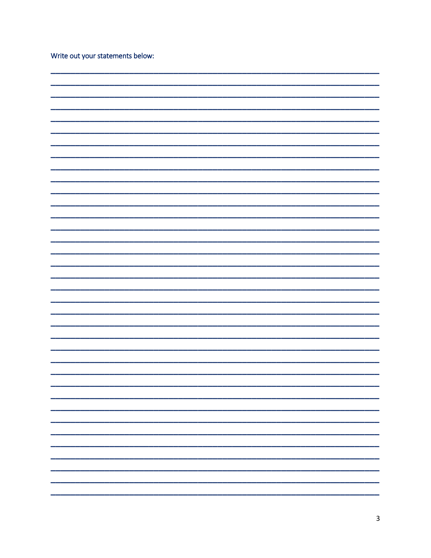|  |  | Write out your statements below: |  |
|--|--|----------------------------------|--|
|--|--|----------------------------------|--|